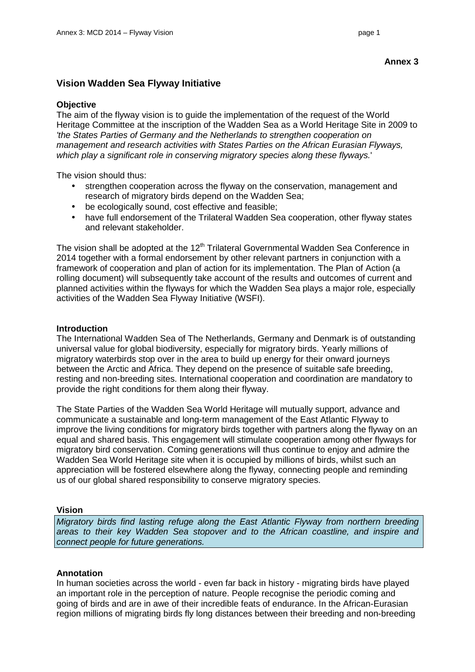# **Vision Wadden Sea Flyway Initiative**

### **Objective**

The aim of the flyway vision is to guide the implementation of the request of the World Heritage Committee at the inscription of the Wadden Sea as a World Heritage Site in 2009 to 'the States Parties of Germany and the Netherlands to strengthen cooperation on management and research activities with States Parties on the African Eurasian Flyways, which play a significant role in conserving migratory species along these flyways.'

The vision should thus:

- strengthen cooperation across the flyway on the conservation, management and research of migratory birds depend on the Wadden Sea;
- be ecologically sound, cost effective and feasible;
- have full endorsement of the Trilateral Wadden Sea cooperation, other flyway states and relevant stakeholder.

The vision shall be adopted at the 12<sup>th</sup> Trilateral Governmental Wadden Sea Conference in 2014 together with a formal endorsement by other relevant partners in conjunction with a framework of cooperation and plan of action for its implementation. The Plan of Action (a rolling document) will subsequently take account of the results and outcomes of current and planned activities within the flyways for which the Wadden Sea plays a major role, especially activities of the Wadden Sea Flyway Initiative (WSFI).

## **Introduction**

The International Wadden Sea of The Netherlands, Germany and Denmark is of outstanding universal value for global biodiversity, especially for migratory birds. Yearly millions of migratory waterbirds stop over in the area to build up energy for their onward journeys between the Arctic and Africa. They depend on the presence of suitable safe breeding, resting and non-breeding sites. International cooperation and coordination are mandatory to provide the right conditions for them along their flyway.

The State Parties of the Wadden Sea World Heritage will mutually support, advance and communicate a sustainable and long-term management of the East Atlantic Flyway to improve the living conditions for migratory birds together with partners along the flyway on an equal and shared basis. This engagement will stimulate cooperation among other flyways for migratory bird conservation. Coming generations will thus continue to enjoy and admire the Wadden Sea World Heritage site when it is occupied by millions of birds, whilst such an appreciation will be fostered elsewhere along the flyway, connecting people and reminding us of our global shared responsibility to conserve migratory species.

#### **Vision**

Migratory birds find lasting refuge along the East Atlantic Flyway from northern breeding areas to their key Wadden Sea stopover and to the African coastline, and inspire and connect people for future generations.

# **Annotation**

In human societies across the world - even far back in history - migrating birds have played an important role in the perception of nature. People recognise the periodic coming and going of birds and are in awe of their incredible feats of endurance. In the African-Eurasian region millions of migrating birds fly long distances between their breeding and non-breeding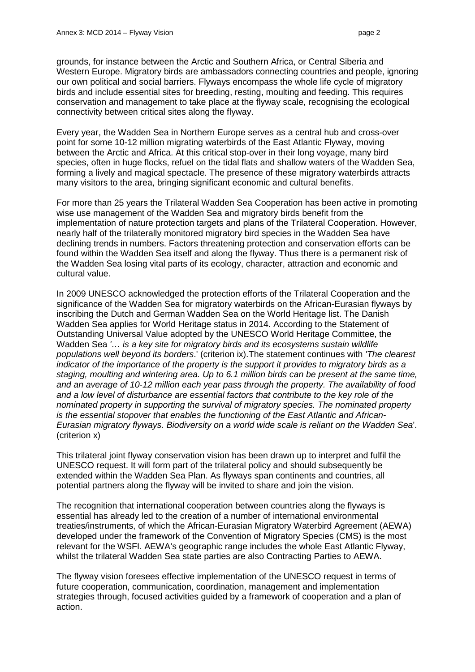grounds, for instance between the Arctic and Southern Africa, or Central Siberia and Western Europe. Migratory birds are ambassadors connecting countries and people, ignoring our own political and social barriers. Flyways encompass the whole life cycle of migratory birds and include essential sites for breeding, resting, moulting and feeding. This requires conservation and management to take place at the flyway scale, recognising the ecological connectivity between critical sites along the flyway.

Every year, the Wadden Sea in Northern Europe serves as a central hub and cross-over point for some 10-12 million migrating waterbirds of the East Atlantic Flyway, moving between the Arctic and Africa. At this critical stop-over in their long voyage, many bird species, often in huge flocks, refuel on the tidal flats and shallow waters of the Wadden Sea, forming a lively and magical spectacle. The presence of these migratory waterbirds attracts many visitors to the area, bringing significant economic and cultural benefits.

For more than 25 years the Trilateral Wadden Sea Cooperation has been active in promoting wise use management of the Wadden Sea and migratory birds benefit from the implementation of nature protection targets and plans of the Trilateral Cooperation. However, nearly half of the trilaterally monitored migratory bird species in the Wadden Sea have declining trends in numbers. Factors threatening protection and conservation efforts can be found within the Wadden Sea itself and along the flyway. Thus there is a permanent risk of the Wadden Sea losing vital parts of its ecology, character, attraction and economic and cultural value.

In 2009 UNESCO acknowledged the protection efforts of the Trilateral Cooperation and the significance of the Wadden Sea for migratory waterbirds on the African-Eurasian flyways by inscribing the Dutch and German Wadden Sea on the World Heritage list. The Danish Wadden Sea applies for World Heritage status in 2014. According to the Statement of Outstanding Universal Value adopted by the UNESCO World Heritage Committee, the Wadden Sea '... is a key site for migratory birds and its ecosystems sustain wildlife populations well beyond its borders.' (criterion ix).The statement continues with 'The clearest indicator of the importance of the property is the support it provides to migratory birds as a staging, moulting and wintering area. Up to 6.1 million birds can be present at the same time, and an average of 10-12 million each year pass through the property. The availability of food and a low level of disturbance are essential factors that contribute to the key role of the nominated property in supporting the survival of migratory species. The nominated property is the essential stopover that enables the functioning of the East Atlantic and African-Eurasian migratory flyways. Biodiversity on a world wide scale is reliant on the Wadden Sea'. (criterion x)

This trilateral joint flyway conservation vision has been drawn up to interpret and fulfil the UNESCO request. It will form part of the trilateral policy and should subsequently be extended within the Wadden Sea Plan. As flyways span continents and countries, all potential partners along the flyway will be invited to share and join the vision.

The recognition that international cooperation between countries along the flyways is essential has already led to the creation of a number of international environmental treaties/instruments, of which the African-Eurasian Migratory Waterbird Agreement (AEWA) developed under the framework of the Convention of Migratory Species (CMS) is the most relevant for the WSFI. AEWA's geographic range includes the whole East Atlantic Flyway, whilst the trilateral Wadden Sea state parties are also Contracting Parties to AEWA.

The flyway vision foresees effective implementation of the UNESCO request in terms of future cooperation, communication, coordination, management and implementation strategies through, focused activities guided by a framework of cooperation and a plan of action.